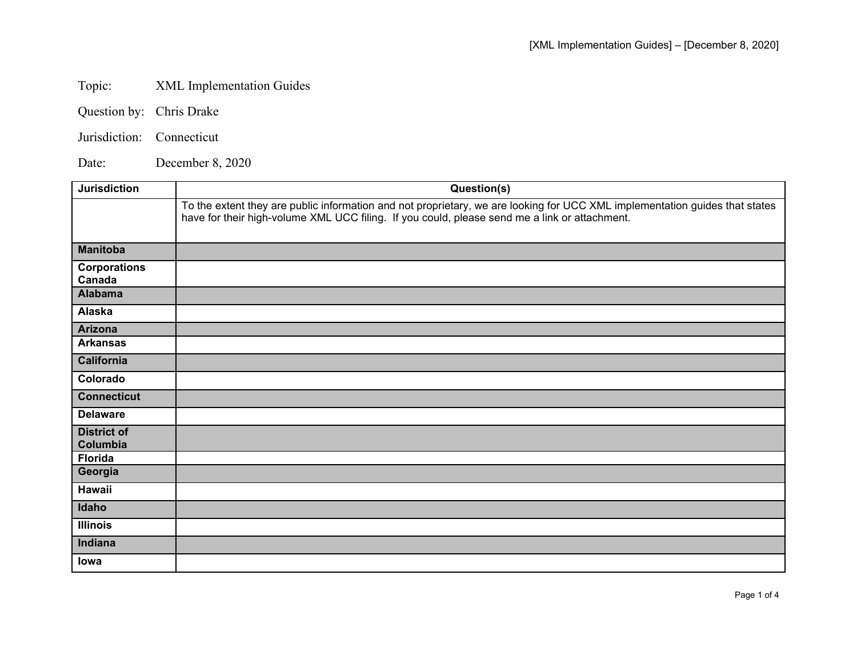## Topic: XML Implementation Guides

| Question by: | Chris Drake |
|--------------|-------------|
|--------------|-------------|

Jurisdiction: Connecticut

Date: December 8, 2020

| <b>Jurisdiction</b>            | Question(s)                                                                                                                                                                                                                  |
|--------------------------------|------------------------------------------------------------------------------------------------------------------------------------------------------------------------------------------------------------------------------|
|                                | To the extent they are public information and not proprietary, we are looking for UCC XML implementation guides that states<br>have for their high-volume XML UCC filing. If you could, please send me a link or attachment. |
| <b>Manitoba</b>                |                                                                                                                                                                                                                              |
| <b>Corporations</b><br>Canada  |                                                                                                                                                                                                                              |
| <b>Alabama</b>                 |                                                                                                                                                                                                                              |
| Alaska                         |                                                                                                                                                                                                                              |
| <b>Arizona</b>                 |                                                                                                                                                                                                                              |
| <b>Arkansas</b>                |                                                                                                                                                                                                                              |
| <b>California</b>              |                                                                                                                                                                                                                              |
| Colorado                       |                                                                                                                                                                                                                              |
| <b>Connecticut</b>             |                                                                                                                                                                                                                              |
| <b>Delaware</b>                |                                                                                                                                                                                                                              |
| <b>District of</b><br>Columbia |                                                                                                                                                                                                                              |
| <b>Florida</b>                 |                                                                                                                                                                                                                              |
| Georgia                        |                                                                                                                                                                                                                              |
| <b>Hawaii</b>                  |                                                                                                                                                                                                                              |
| Idaho                          |                                                                                                                                                                                                                              |
| <b>Illinois</b>                |                                                                                                                                                                                                                              |
| Indiana                        |                                                                                                                                                                                                                              |
| lowa                           |                                                                                                                                                                                                                              |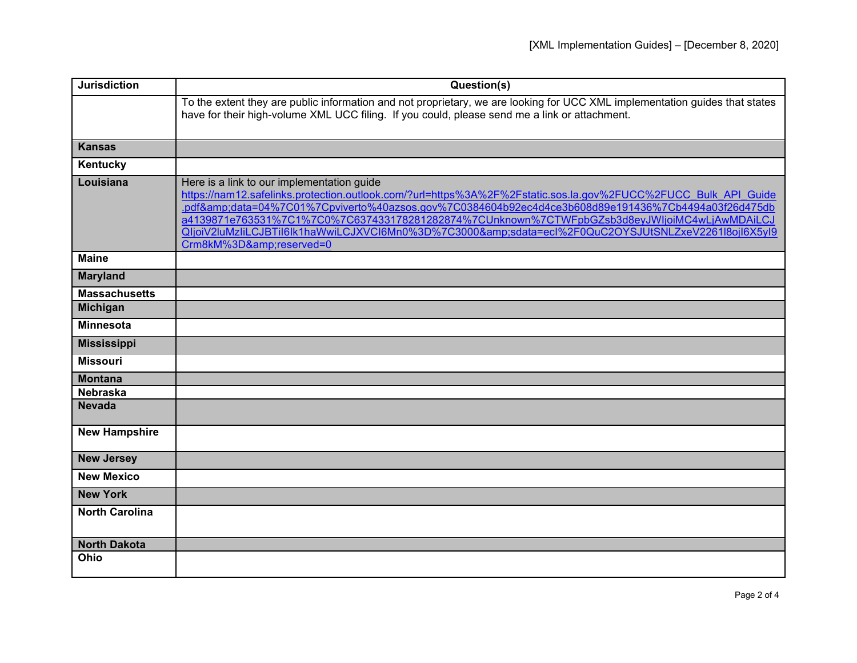| <b>Jurisdiction</b>   | Question(s)                                                                                                                                                                                                                                                                                                                                                                                                                                                                                 |
|-----------------------|---------------------------------------------------------------------------------------------------------------------------------------------------------------------------------------------------------------------------------------------------------------------------------------------------------------------------------------------------------------------------------------------------------------------------------------------------------------------------------------------|
|                       | To the extent they are public information and not proprietary, we are looking for UCC XML implementation guides that states<br>have for their high-volume XML UCC filing. If you could, please send me a link or attachment.                                                                                                                                                                                                                                                                |
| <b>Kansas</b>         |                                                                                                                                                                                                                                                                                                                                                                                                                                                                                             |
| Kentucky              |                                                                                                                                                                                                                                                                                                                                                                                                                                                                                             |
| Louisiana             | Here is a link to our implementation guide<br>https://nam12.safelinks.protection.outlook.com/?url=https%3A%2F%2Fstatic.sos.la.gov%2FUCC%2FUCC_Bulk_API_Guide<br>.pdf&data=04%7C01%7Cpviverto%40azsos.gov%7C0384604b92ec4d4ce3b608d89e191436%7Cb4494a03f26d475db<br>a4139871e763531%7C1%7C0%7C637433178281282874%7CUnknown%7CTWFpbGZsb3d8eyJWljoiMC4wLjAwMDAiLCJ<br>QljoiV2luMzliLCJBTil6lk1haWwiLCJXVCl6Mn0%3D%7C3000&sdata=ecl%2F0QuC2OYSJUtSNLZxeV2261l8ojl6X5yl9<br>Crm8kM%3D&reserved=0 |
| <b>Maine</b>          |                                                                                                                                                                                                                                                                                                                                                                                                                                                                                             |
| <b>Maryland</b>       |                                                                                                                                                                                                                                                                                                                                                                                                                                                                                             |
| <b>Massachusetts</b>  |                                                                                                                                                                                                                                                                                                                                                                                                                                                                                             |
| <b>Michigan</b>       |                                                                                                                                                                                                                                                                                                                                                                                                                                                                                             |
| <b>Minnesota</b>      |                                                                                                                                                                                                                                                                                                                                                                                                                                                                                             |
| <b>Mississippi</b>    |                                                                                                                                                                                                                                                                                                                                                                                                                                                                                             |
| <b>Missouri</b>       |                                                                                                                                                                                                                                                                                                                                                                                                                                                                                             |
| <b>Montana</b>        |                                                                                                                                                                                                                                                                                                                                                                                                                                                                                             |
| <b>Nebraska</b>       |                                                                                                                                                                                                                                                                                                                                                                                                                                                                                             |
| <b>Nevada</b>         |                                                                                                                                                                                                                                                                                                                                                                                                                                                                                             |
| <b>New Hampshire</b>  |                                                                                                                                                                                                                                                                                                                                                                                                                                                                                             |
| <b>New Jersey</b>     |                                                                                                                                                                                                                                                                                                                                                                                                                                                                                             |
| <b>New Mexico</b>     |                                                                                                                                                                                                                                                                                                                                                                                                                                                                                             |
| <b>New York</b>       |                                                                                                                                                                                                                                                                                                                                                                                                                                                                                             |
| <b>North Carolina</b> |                                                                                                                                                                                                                                                                                                                                                                                                                                                                                             |
| <b>North Dakota</b>   |                                                                                                                                                                                                                                                                                                                                                                                                                                                                                             |
| Ohio                  |                                                                                                                                                                                                                                                                                                                                                                                                                                                                                             |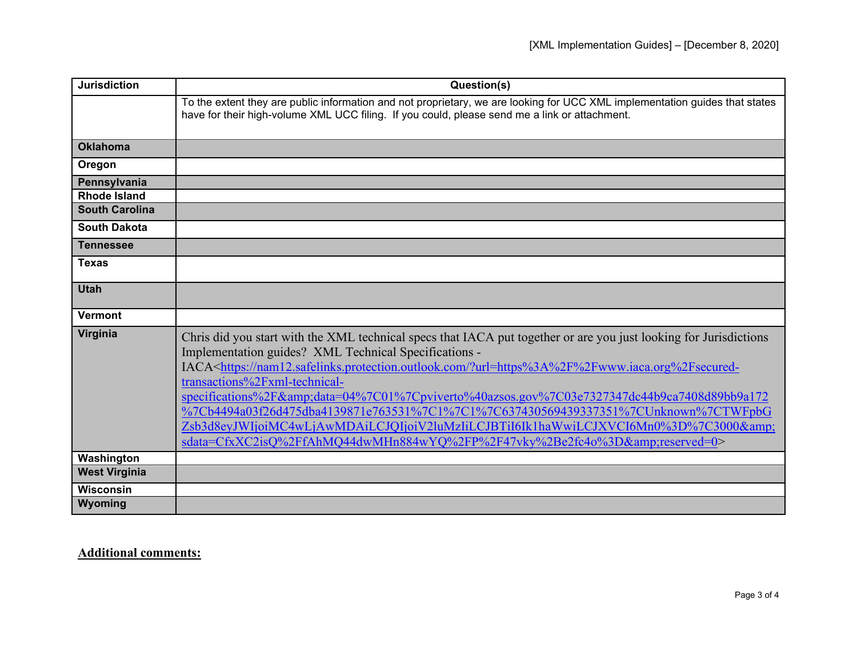| <b>Jurisdiction</b>   | Question(s)                                                                                                                                                                                                                                                                                                                                                                                                                                                                                                                                                                                                                                                                                          |
|-----------------------|------------------------------------------------------------------------------------------------------------------------------------------------------------------------------------------------------------------------------------------------------------------------------------------------------------------------------------------------------------------------------------------------------------------------------------------------------------------------------------------------------------------------------------------------------------------------------------------------------------------------------------------------------------------------------------------------------|
|                       | To the extent they are public information and not proprietary, we are looking for UCC XML implementation guides that states<br>have for their high-volume XML UCC filing. If you could, please send me a link or attachment.                                                                                                                                                                                                                                                                                                                                                                                                                                                                         |
| <b>Oklahoma</b>       |                                                                                                                                                                                                                                                                                                                                                                                                                                                                                                                                                                                                                                                                                                      |
| Oregon                |                                                                                                                                                                                                                                                                                                                                                                                                                                                                                                                                                                                                                                                                                                      |
| Pennsylvania          |                                                                                                                                                                                                                                                                                                                                                                                                                                                                                                                                                                                                                                                                                                      |
| <b>Rhode Island</b>   |                                                                                                                                                                                                                                                                                                                                                                                                                                                                                                                                                                                                                                                                                                      |
| <b>South Carolina</b> |                                                                                                                                                                                                                                                                                                                                                                                                                                                                                                                                                                                                                                                                                                      |
| <b>South Dakota</b>   |                                                                                                                                                                                                                                                                                                                                                                                                                                                                                                                                                                                                                                                                                                      |
| <b>Tennessee</b>      |                                                                                                                                                                                                                                                                                                                                                                                                                                                                                                                                                                                                                                                                                                      |
| <b>Texas</b>          |                                                                                                                                                                                                                                                                                                                                                                                                                                                                                                                                                                                                                                                                                                      |
| <b>Utah</b>           |                                                                                                                                                                                                                                                                                                                                                                                                                                                                                                                                                                                                                                                                                                      |
| <b>Vermont</b>        |                                                                                                                                                                                                                                                                                                                                                                                                                                                                                                                                                                                                                                                                                                      |
| Virginia              | Chris did you start with the XML technical specs that IACA put together or are you just looking for Jurisdictions<br>Implementation guides? XML Technical Specifications -<br>IACA <https: ?url="https%3A%2F%2Fwww.iaca.org%2Fsecured-&lt;br" nam12.safelinks.protection.outlook.com="">transactions%2Fxml-technical-<br/>specifications%2F&amp;data=04%7C01%7Cpviverto%40azsos.gov%7C03e7327347dc44b9ca7408d89bb9a172<br/>%7Cb4494a03f26d475dba4139871e763531%7C1%7C1%7C637430569439337351%7CUnknown%7CTWFpbG<br/>Zsb3d8eyJWIjoiMC4wLjAwMDAiLCJQIjoiV2luMzIiLCJBTiI6Ik1haWwiLCJXVCI6Mn0%3D%7C3000&amp;<br/>sdata=CfxXC2isQ%2FfAhMQ44dwMHn884wYQ%2FP%2F47vky%2Be2fc4o%3D&amp;reserved=0&gt;</https:> |
| Washington            |                                                                                                                                                                                                                                                                                                                                                                                                                                                                                                                                                                                                                                                                                                      |
| <b>West Virginia</b>  |                                                                                                                                                                                                                                                                                                                                                                                                                                                                                                                                                                                                                                                                                                      |
| <b>Wisconsin</b>      |                                                                                                                                                                                                                                                                                                                                                                                                                                                                                                                                                                                                                                                                                                      |
| Wyoming               |                                                                                                                                                                                                                                                                                                                                                                                                                                                                                                                                                                                                                                                                                                      |

## **Additional comments:**